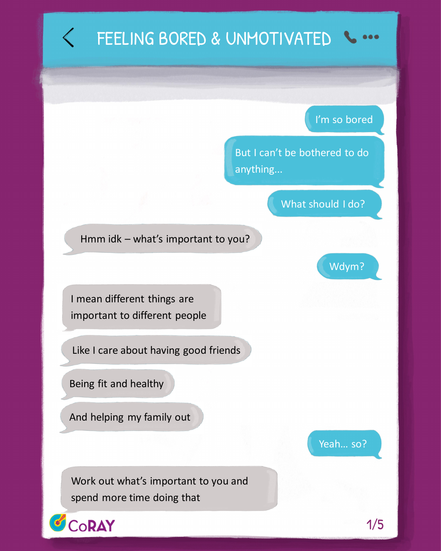But I can't be bothered to do anything...

## What should I do?

I mean different things are important to different people

# FEELING BORED & UNMOTIVATED



## Wdym?

Yeah… so?

## I'm so bored

 $\bullet\bullet\bullet$ 

Hmm idk – what's important to you?

Like I care about having good friends

### Being fit and healthy

## And helping my family out

## Work out what's important to you and

spend more time doing that

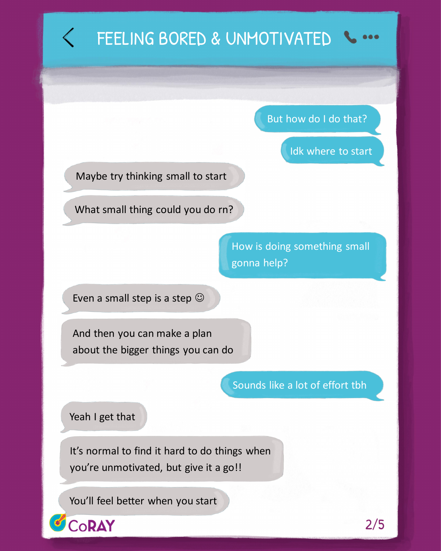

How is doing something small gonna help?

Even a small step is a step  $\odot$ 

Idk where to start

### FEELING BORED & UNMOTIVATED  $\bullet\bullet\bullet$

### But how do I do that?

Maybe try thinking small to start

What small thing could you do rn?

And then you can make a plan about the bigger things you can do

### Sounds like a lot of effort tbh

## It's normal to find it hard to do things when you're unmotivated, but give it a go!!

You'll feel better when you start



### Yeah I get that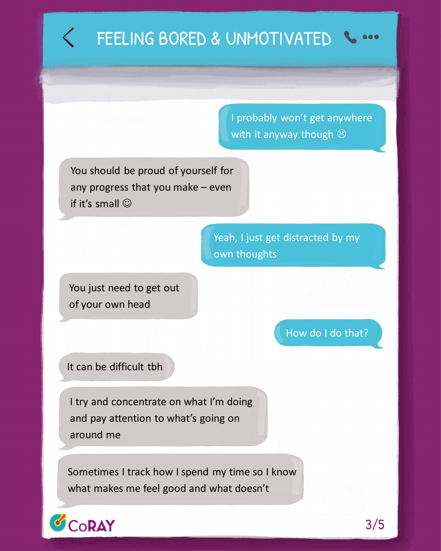3/5

I probably won't get anywhere with it anyway though  $\odot$ 

### FEELING BORED & UNMOTIVATED  $\bullet$

Yeah, I just get distracted by my own thoughts

You should be proud of yourself for any progress that you make – even if it's small  $\odot$ 

Sometimes I track how I spend my time so I know what makes me feel good and what doesn't



How do I do that?

You just need to get out of your own head

It can be difficult tbh

I try and concentrate on what I'm doing and pay attention to what's going on around me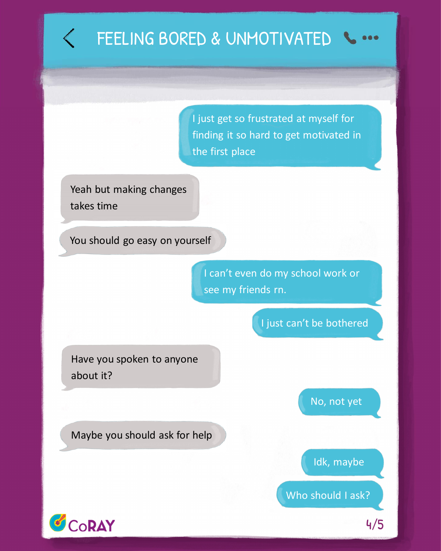4/5

# FEELING BORED & UNMOTIVATED

I just get so frustrated at myself for finding it so hard to get motivated in the first place

Yeah but making changes takes time

You should go easy on yourself

I can't even do my school work or see my friends rn.

I just can't be bothered

#### Have you spoken to anyone

### about it?

### Maybe you should ask for help

## Idk, maybe

## Who should I ask?



## No, not yet